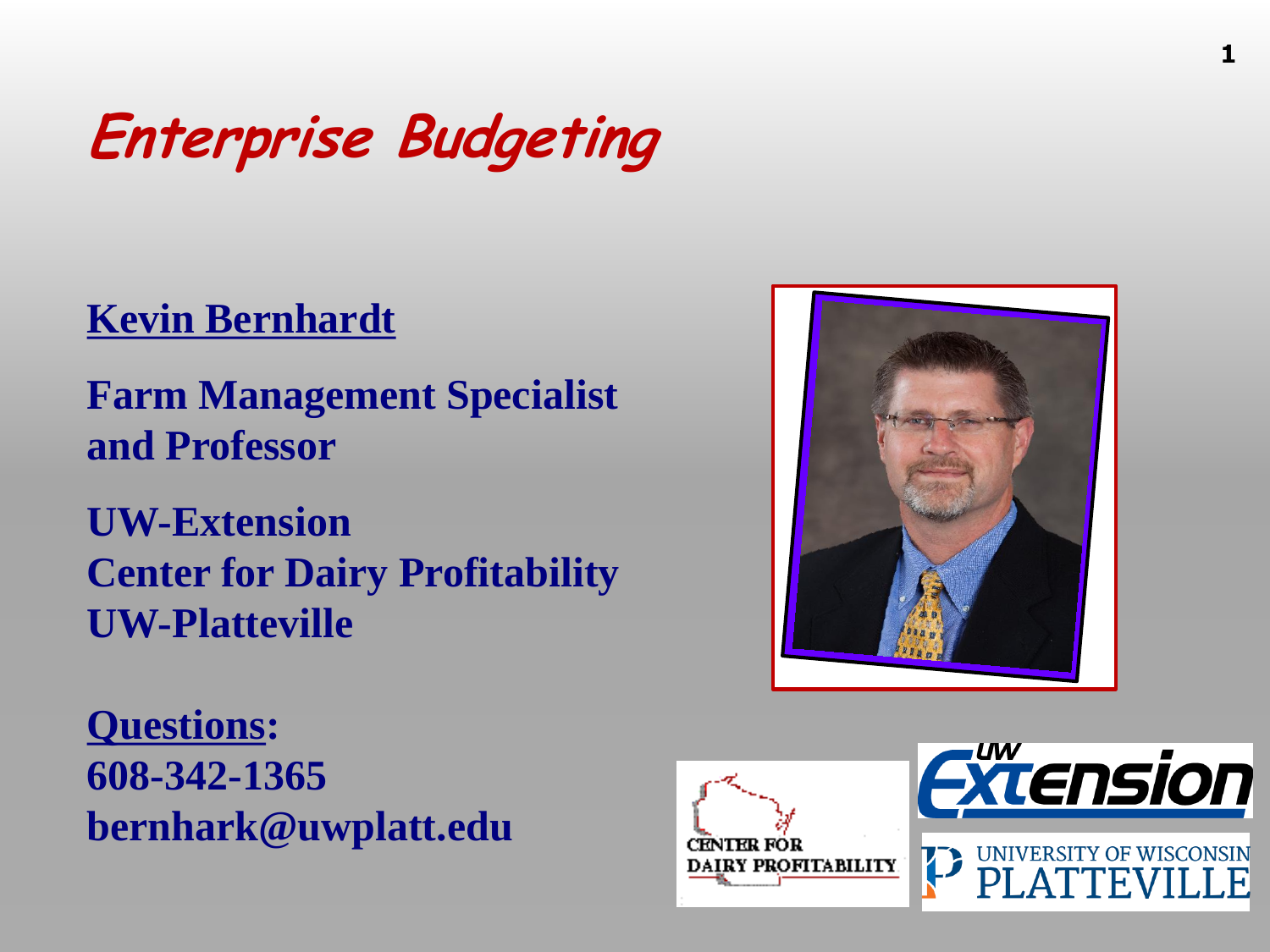#### **Enterprise Budgeting**

#### **Kevin Bernhardt**

**Farm Management Specialist and Professor**

**UW-Extension Center for Dairy Profitability UW-Platteville**

**Questions: 608-342-1365 bernhark@uwplatt.edu**



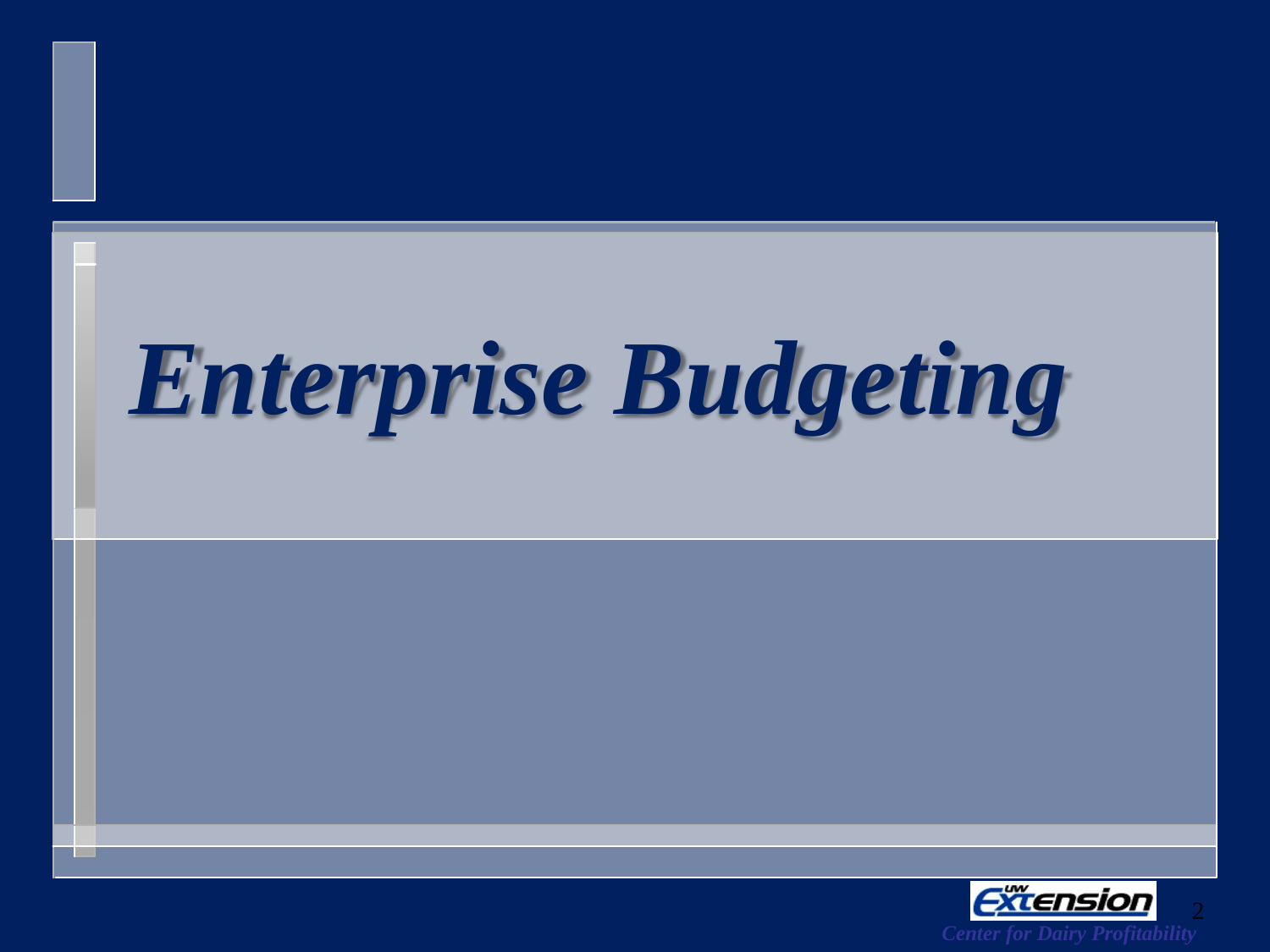# *Enterprise Budgeting*

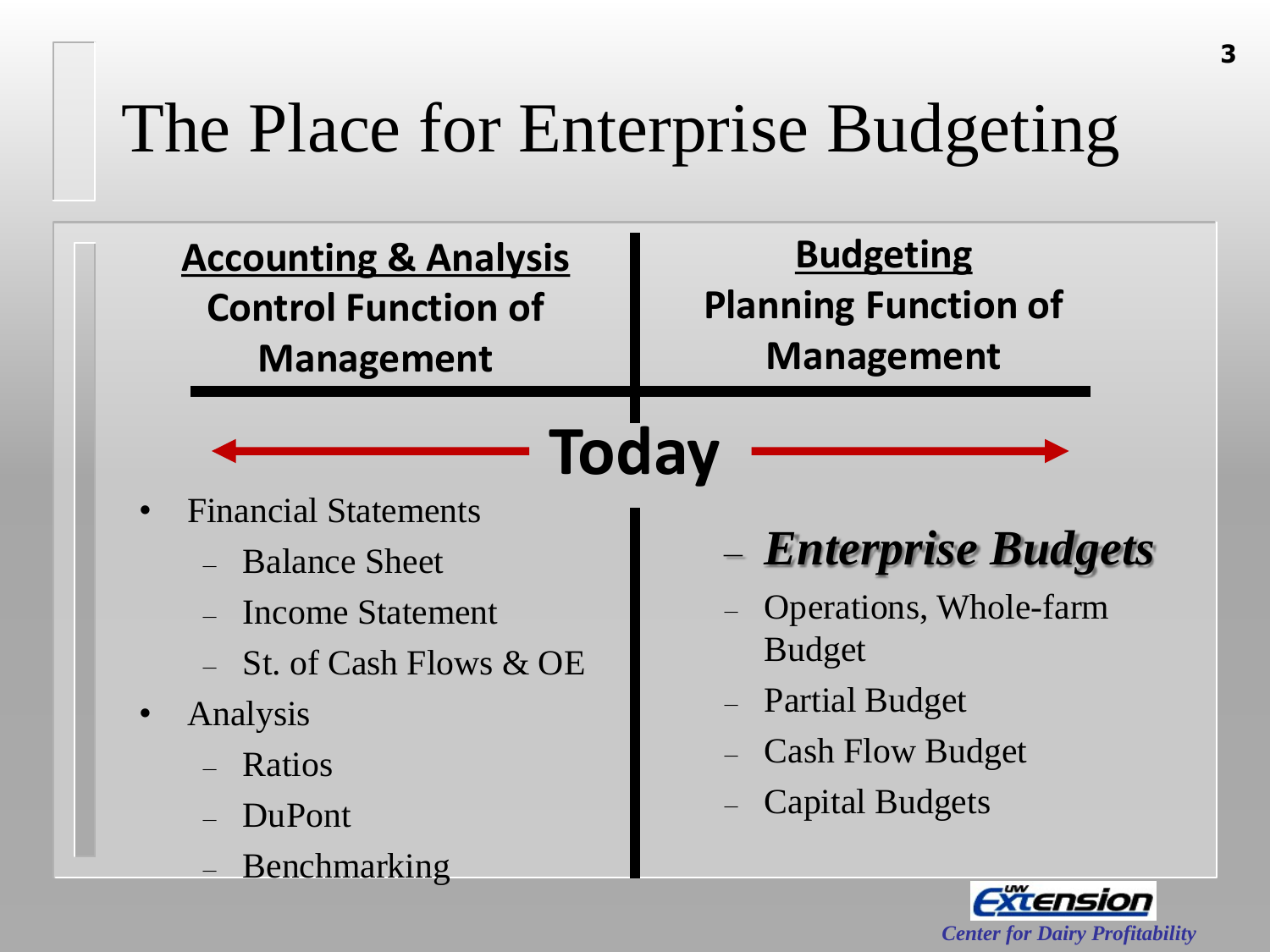#### The Place for Enterprise Budgeting

| <b>Control Function of</b><br><b>Management</b>                                                                           | <b>Budgeting</b><br><b>Planning Function of</b><br><b>Management</b>                                                                                      |  |  |
|---------------------------------------------------------------------------------------------------------------------------|-----------------------------------------------------------------------------------------------------------------------------------------------------------|--|--|
| <b>Today</b><br><b>Financial Statements</b>                                                                               |                                                                                                                                                           |  |  |
| <b>Balance Sheet</b><br><b>Income Statement</b><br>St. of Cash Flows & OE<br>Analysis<br>Ratios<br>DuPont<br>Benchmarking | – Enterprise Budgets<br>Operations, Whole-farm<br><b>Budget</b><br><b>Partial Budget</b><br>$\equiv$<br><b>Cash Flow Budget</b><br><b>Capital Budgets</b> |  |  |

*Center for Dairy Profitability*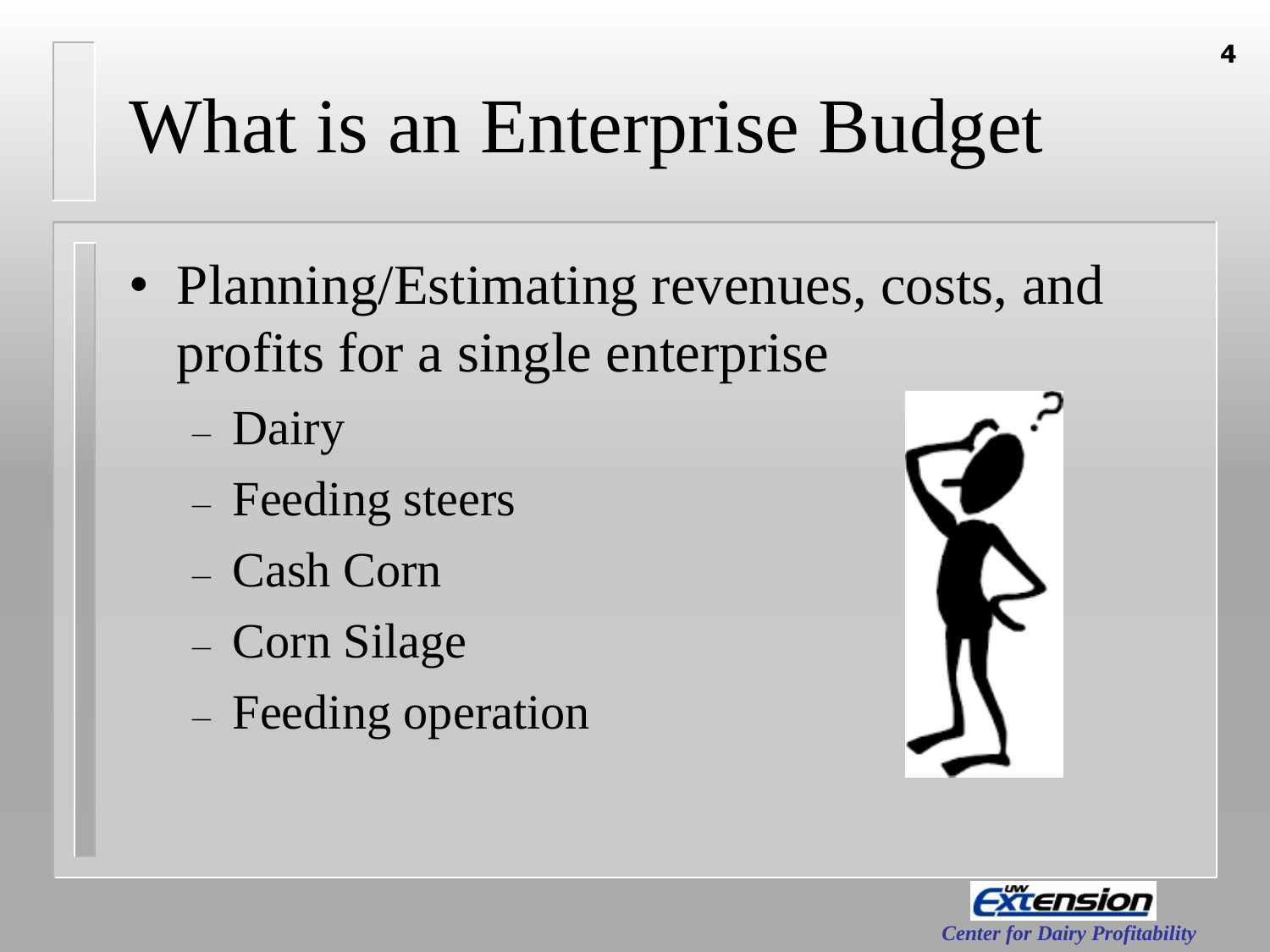# What is an Enterprise Budget

- Planning/Estimating revenues, costs, and profits for a single enterprise
	- Dairy
	- Feeding steers
	- Cash Corn
	- Corn Silage
	- Feeding operation



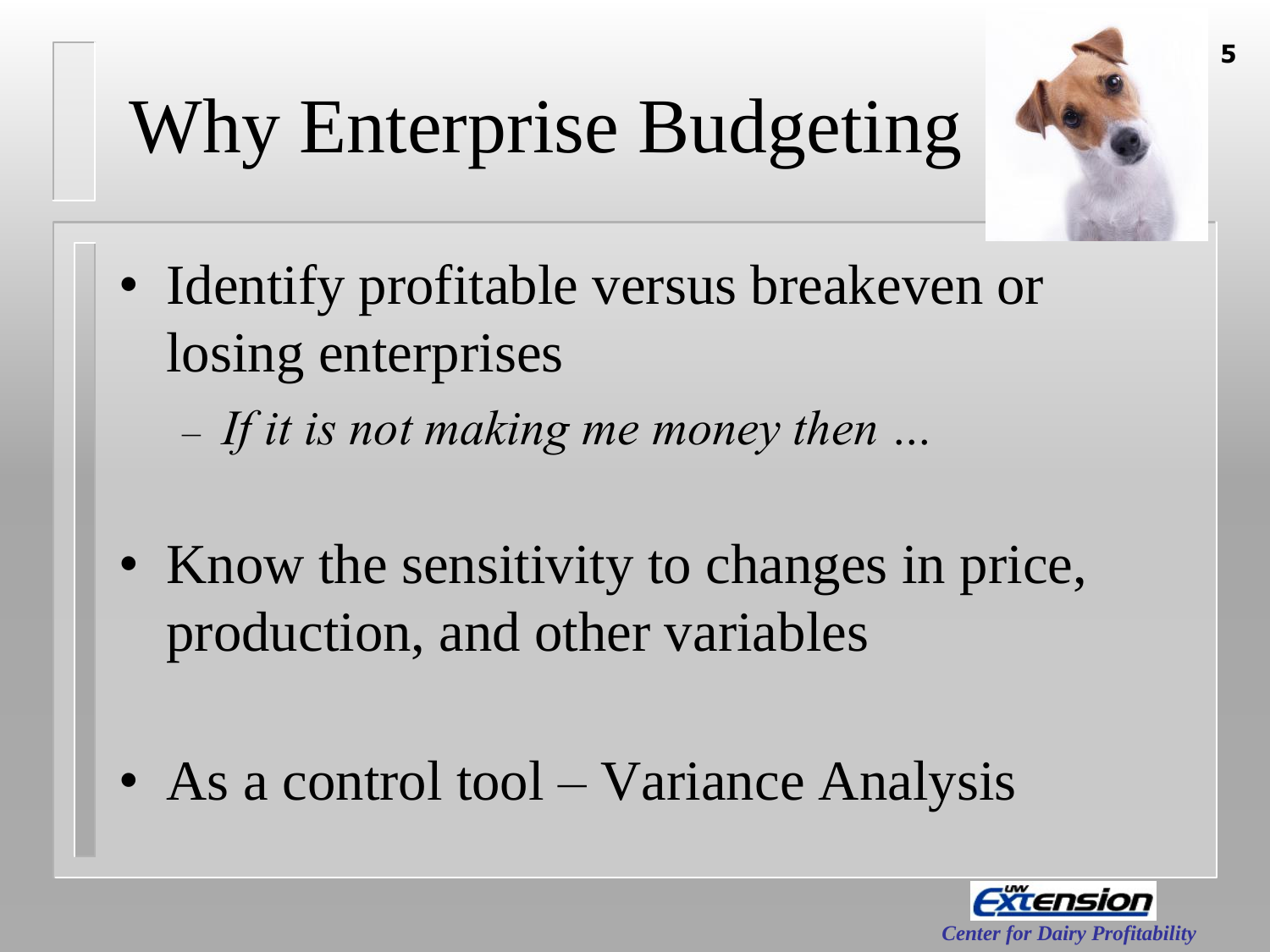# Why Enterprise Budgeting



- Identify profitable versus breakeven or losing enterprises
	- *If it is not making me money then …*
- Know the sensitivity to changes in price, production, and other variables
- As a control tool Variance Analysis

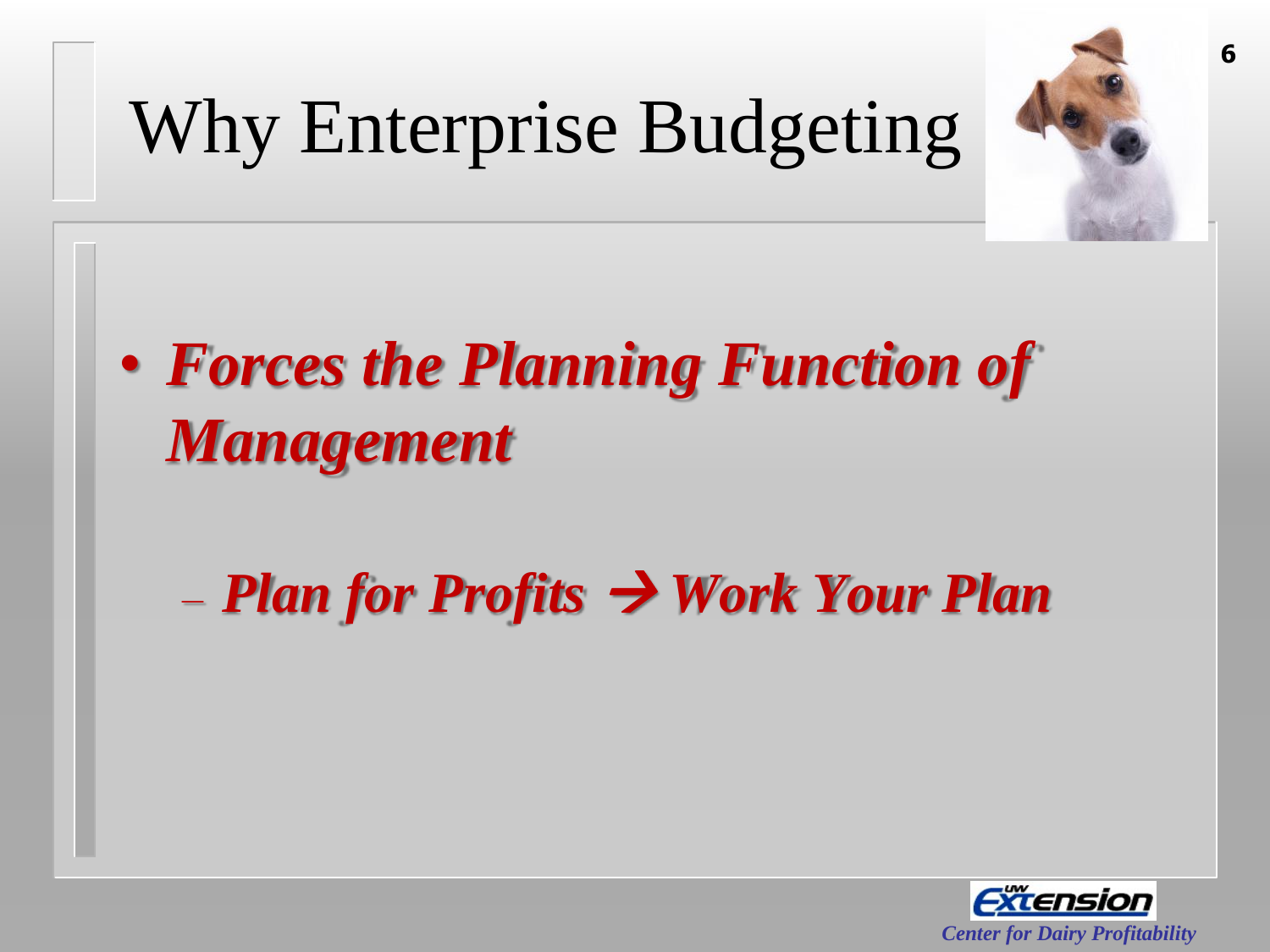

# Why Enterprise Budgeting

• *Forces the Planning Function of Management*

– *Plan for Profits Work Your Plan*



**6**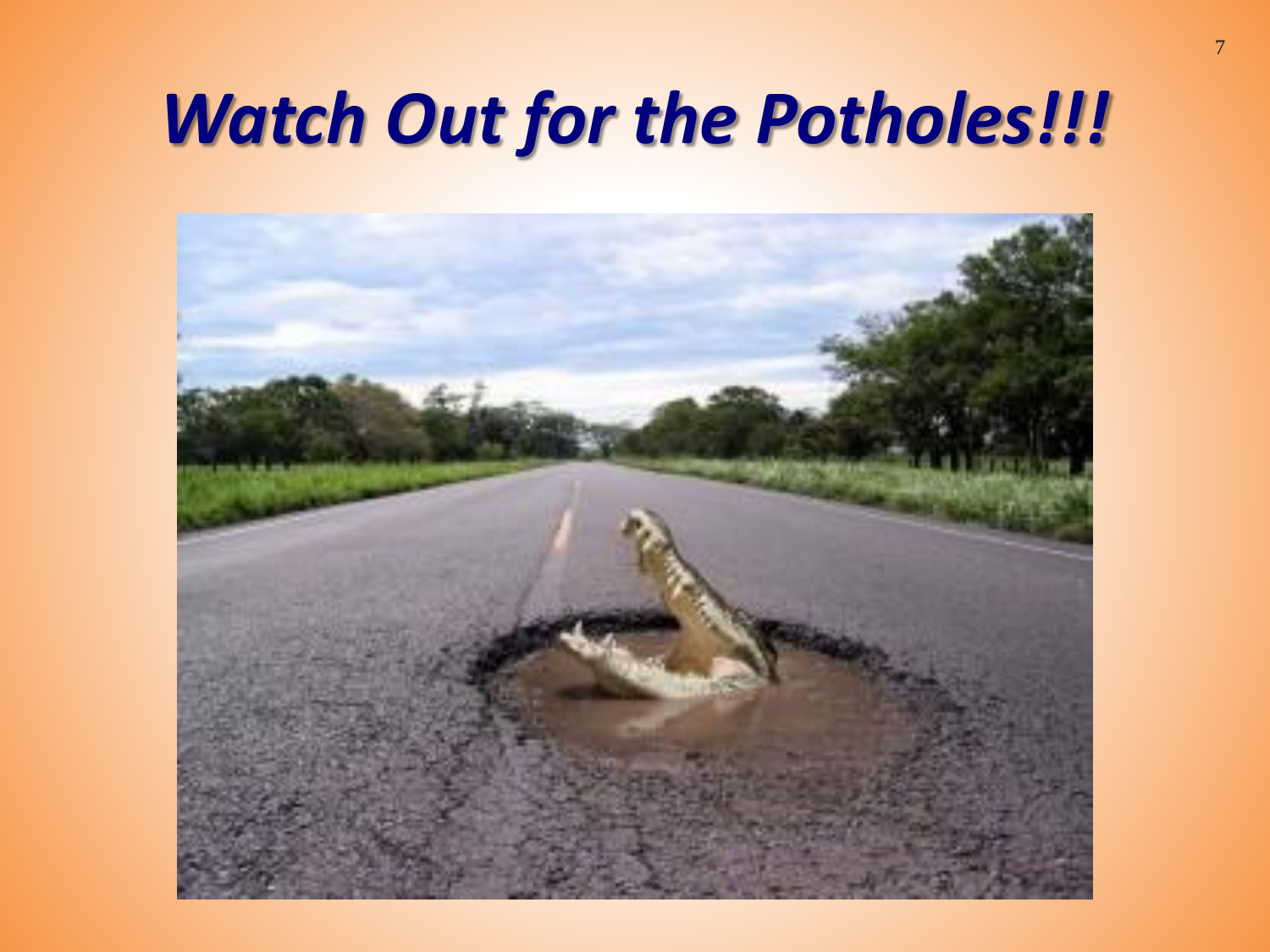#### *Watch Out for the Potholes!!!*

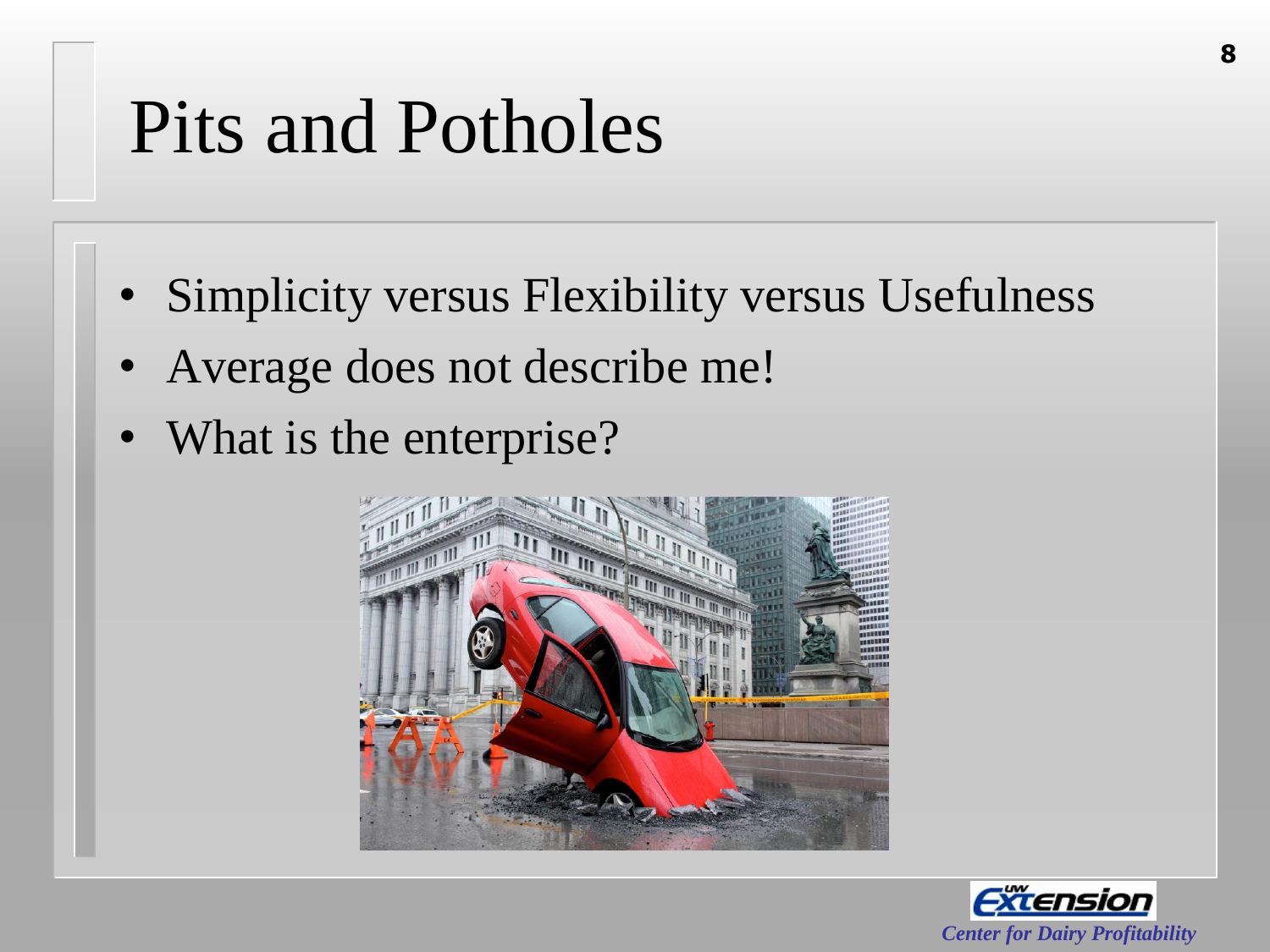### Pits and Potholes

- Simplicity versus Flexibility versus Usefulness
- Average does not describe me!
- What is the enterprise?



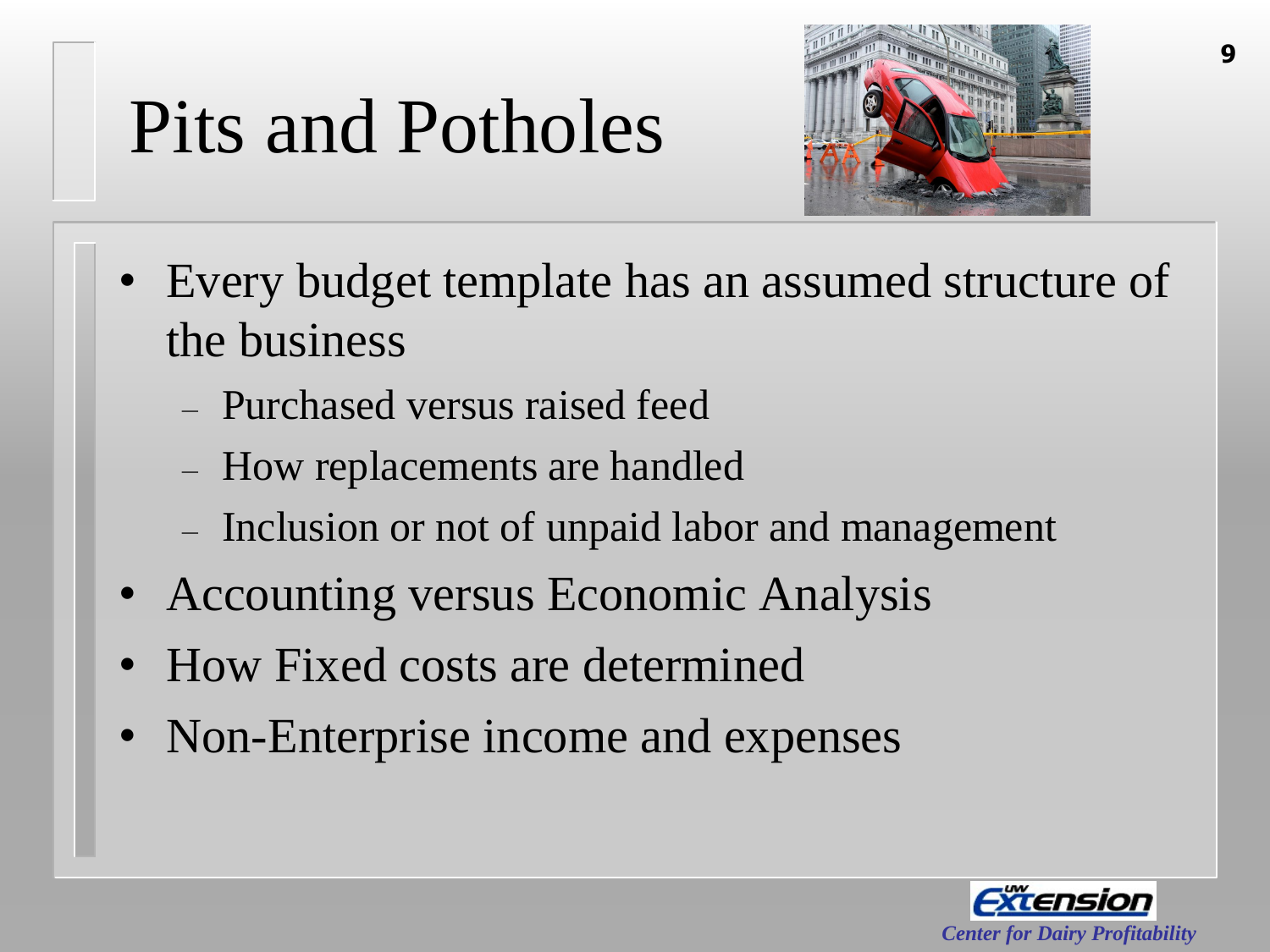## Pits and Potholes



- Every budget template has an assumed structure of the business
	- Purchased versus raised feed
	- How replacements are handled
	- Inclusion or not of unpaid labor and management
- Accounting versus Economic Analysis
- How Fixed costs are determined
- Non-Enterprise income and expenses

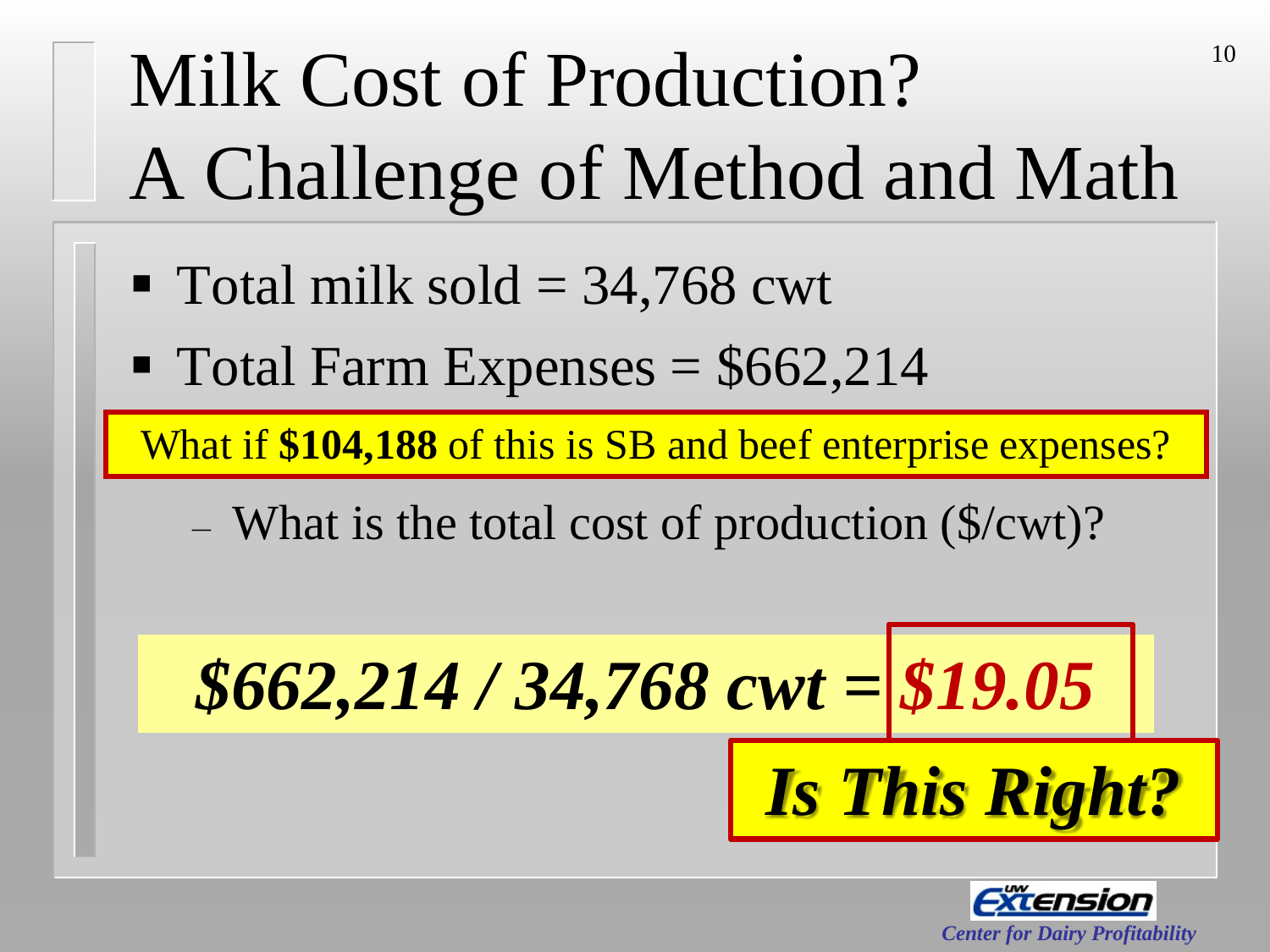# Milk Cost of Production? A Challenge of Method and Math

- $\blacksquare$  Total milk sold = 34,768 cwt
- $\blacksquare$  Total Farm Expenses = \$662,214

What if **\$104,188** of this is SB and beef enterprise expenses?

– What is the total cost of production (\$/cwt)?





10